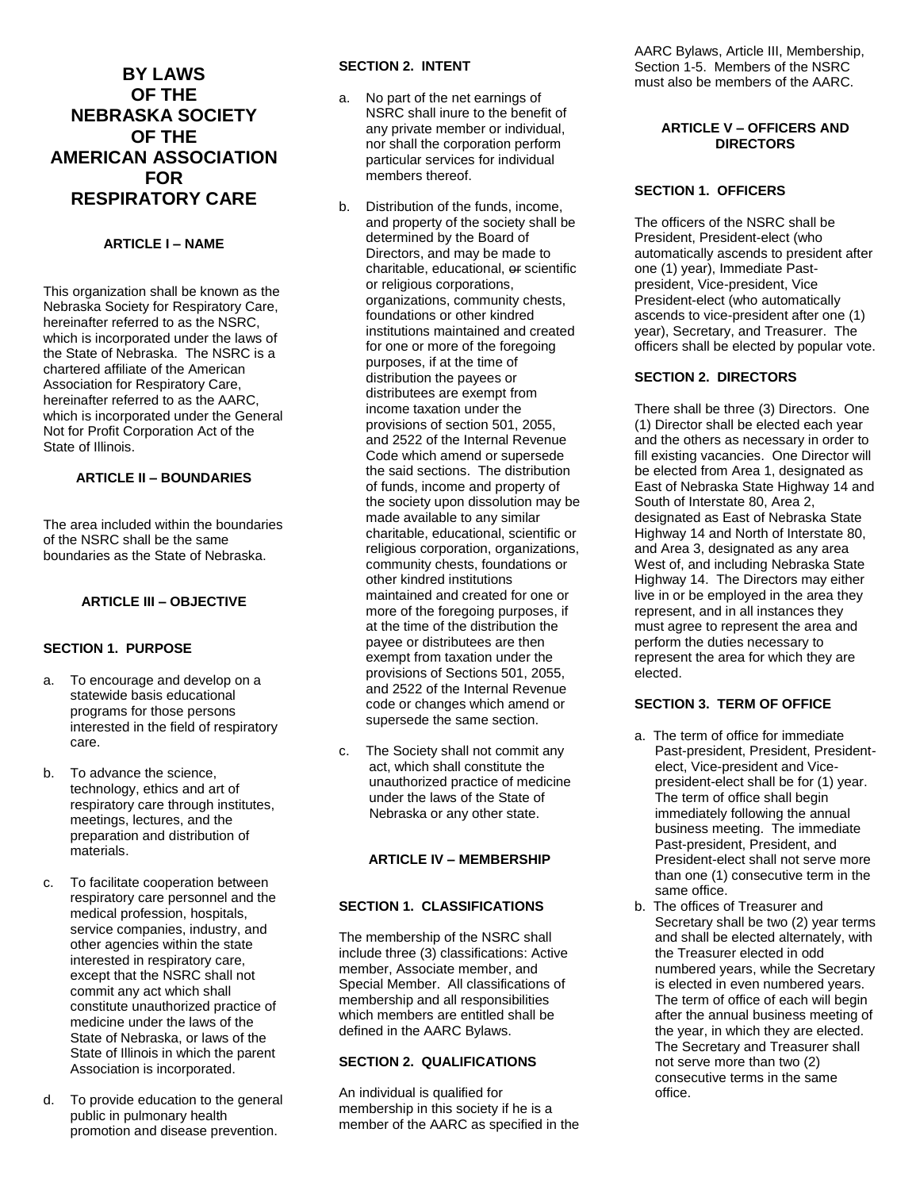# **BY LAWS OF THE NEBRASKA SOCIETY OF THE AMERICAN ASSOCIATION FOR RESPIRATORY CARE**

# **ARTICLE I – NAME**

This organization shall be known as the Nebraska Society for Respiratory Care, hereinafter referred to as the NSRC, which is incorporated under the laws of the State of Nebraska. The NSRC is a chartered affiliate of the American Association for Respiratory Care, hereinafter referred to as the AARC, which is incorporated under the General Not for Profit Corporation Act of the State of Illinois.

# **ARTICLE II – BOUNDARIES**

The area included within the boundaries of the NSRC shall be the same boundaries as the State of Nebraska.

#### **ARTICLE III – OBJECTIVE**

# **SECTION 1. PURPOSE**

- a. To encourage and develop on a statewide basis educational programs for those persons interested in the field of respiratory care.
- b. To advance the science, technology, ethics and art of respiratory care through institutes, meetings, lectures, and the preparation and distribution of materials.
- c. To facilitate cooperation between respiratory care personnel and the medical profession, hospitals, service companies, industry, and other agencies within the state interested in respiratory care, except that the NSRC shall not commit any act which shall constitute unauthorized practice of medicine under the laws of the State of Nebraska, or laws of the State of Illinois in which the parent Association is incorporated.
- d. To provide education to the general public in pulmonary health promotion and disease prevention.

# **SECTION 2. INTENT**

- a. No part of the net earnings of NSRC shall inure to the benefit of any private member or individual, nor shall the corporation perform particular services for individual members thereof.
- b. Distribution of the funds, income, and property of the society shall be determined by the Board of Directors, and may be made to charitable, educational, or scientific or religious corporations, organizations, community chests, foundations or other kindred institutions maintained and created for one or more of the foregoing purposes, if at the time of distribution the payees or distributees are exempt from income taxation under the provisions of section 501, 2055, and 2522 of the Internal Revenue Code which amend or supersede the said sections. The distribution of funds, income and property of the society upon dissolution may be made available to any similar charitable, educational, scientific or religious corporation, organizations, community chests, foundations or other kindred institutions maintained and created for one or more of the foregoing purposes, if at the time of the distribution the payee or distributees are then exempt from taxation under the provisions of Sections 501, 2055, and 2522 of the Internal Revenue code or changes which amend or supersede the same section.
- c. The Society shall not commit any act, which shall constitute the unauthorized practice of medicine under the laws of the State of Nebraska or any other state.

# **ARTICLE IV – MEMBERSHIP**

#### **SECTION 1. CLASSIFICATIONS**

The membership of the NSRC shall include three (3) classifications: Active member, Associate member, and Special Member. All classifications of membership and all responsibilities which members are entitled shall be defined in the AARC Bylaws.

# **SECTION 2. QUALIFICATIONS**

An individual is qualified for membership in this society if he is a member of the AARC as specified in the AARC Bylaws, Article III, Membership, Section 1-5. Members of the NSRC must also be members of the AARC.

# **ARTICLE V – OFFICERS AND DIRECTORS**

# **SECTION 1. OFFICERS**

The officers of the NSRC shall be President, President-elect (who automatically ascends to president after one (1) year), Immediate Pastpresident, Vice-president, Vice President-elect (who automatically ascends to vice-president after one (1) year), Secretary, and Treasurer. The officers shall be elected by popular vote.

#### **SECTION 2. DIRECTORS**

There shall be three (3) Directors. One (1) Director shall be elected each year and the others as necessary in order to fill existing vacancies. One Director will be elected from Area 1, designated as East of Nebraska State Highway 14 and South of Interstate 80, Area 2, designated as East of Nebraska State Highway 14 and North of Interstate 80, and Area 3, designated as any area West of, and including Nebraska State Highway 14. The Directors may either live in or be employed in the area they represent, and in all instances they must agree to represent the area and perform the duties necessary to represent the area for which they are elected.

# **SECTION 3. TERM OF OFFICE**

- a. The term of office for immediate Past-president, President, Presidentelect, Vice-president and Vicepresident-elect shall be for (1) year. The term of office shall begin immediately following the annual business meeting. The immediate Past-president, President, and President-elect shall not serve more than one (1) consecutive term in the same office.
- b. The offices of Treasurer and Secretary shall be two (2) year terms and shall be elected alternately, with the Treasurer elected in odd numbered years, while the Secretary is elected in even numbered years. The term of office of each will begin after the annual business meeting of the year, in which they are elected. The Secretary and Treasurer shall not serve more than two (2) consecutive terms in the same office.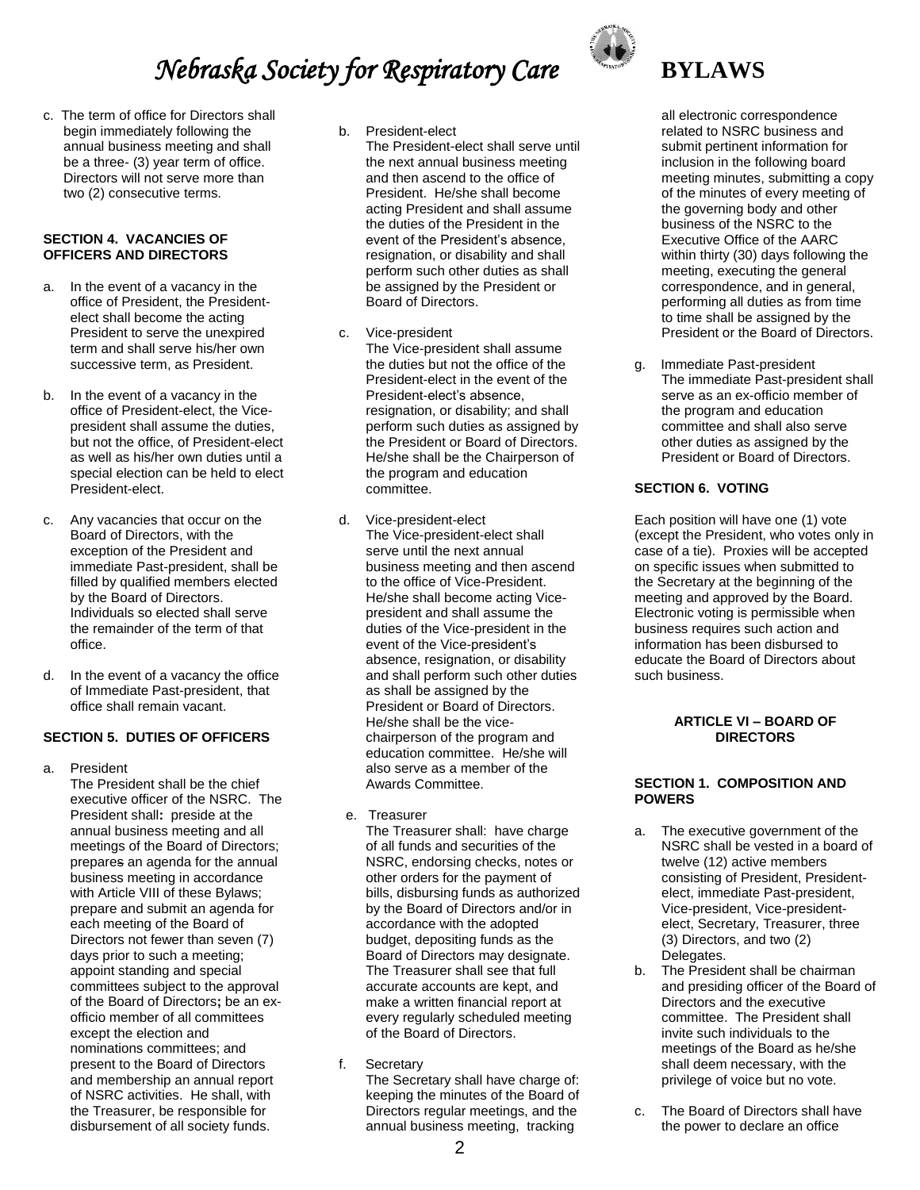c. The term of office for Directors shall begin immediately following the annual business meeting and shall be a three- (3) year term of office. Directors will not serve more than two (2) consecutive terms.

# **SECTION 4. VACANCIES OF OFFICERS AND DIRECTORS**

- a. In the event of a vacancy in the office of President, the Presidentelect shall become the acting President to serve the unexpired term and shall serve his/her own successive term, as President.
- b. In the event of a vacancy in the office of President-elect, the Vicepresident shall assume the duties, but not the office, of President-elect as well as his/her own duties until a special election can be held to elect President-elect.
- c. Any vacancies that occur on the Board of Directors, with the exception of the President and immediate Past-president, shall be filled by qualified members elected by the Board of Directors. Individuals so elected shall serve the remainder of the term of that office.
- d. In the event of a vacancy the office of Immediate Past-president, that office shall remain vacant.

# **SECTION 5. DUTIES OF OFFICERS**

a. President

The President shall be the chief executive officer of the NSRC. The President shall**:** preside at the annual business meeting and all meetings of the Board of Directors; prepares an agenda for the annual business meeting in accordance with Article VIII of these Bylaws; prepare and submit an agenda for each meeting of the Board of Directors not fewer than seven (7) days prior to such a meeting; appoint standing and special committees subject to the approval of the Board of Directors**;** be an exofficio member of all committees except the election and nominations committees; and present to the Board of Directors and membership an annual report of NSRC activities. He shall, with the Treasurer, be responsible for disbursement of all society funds.

- b. President-elect
	- The President-elect shall serve until the next annual business meeting and then ascend to the office of President. He/she shall become acting President and shall assume the duties of the President in the event of the President's absence, resignation, or disability and shall perform such other duties as shall be assigned by the President or Board of Directors.
- c. Vice-president The Vice-president shall assume the duties but not the office of the President-elect in the event of the President-elect's absence, resignation, or disability; and shall perform such duties as assigned by the President or Board of Directors. He/she shall be the Chairperson of the program and education committee.
- d. Vice-president-elect The Vice-president-elect shall serve until the next annual business meeting and then ascend to the office of Vice-President. He/she shall become acting Vicepresident and shall assume the duties of the Vice-president in the event of the Vice-president's absence, resignation, or disability and shall perform such other duties as shall be assigned by the President or Board of Directors. He/she shall be the vicechairperson of the program and education committee. He/she will also serve as a member of the Awards Committee.
- e. Treasurer

The Treasurer shall: have charge of all funds and securities of the NSRC, endorsing checks, notes or other orders for the payment of bills, disbursing funds as authorized by the Board of Directors and/or in accordance with the adopted budget, depositing funds as the Board of Directors may designate. The Treasurer shall see that full accurate accounts are kept, and make a written financial report at every regularly scheduled meeting of the Board of Directors.

f. Secretary The Secretary shall have charge of:

keeping the minutes of the Board of Directors regular meetings, and the annual business meeting, tracking



all electronic correspondence related to NSRC business and submit pertinent information for inclusion in the following board meeting minutes, submitting a copy of the minutes of every meeting of the governing body and other business of the NSRC to the Executive Office of the AARC within thirty (30) days following the meeting, executing the general correspondence, and in general, performing all duties as from time to time shall be assigned by the President or the Board of Directors.

g. Immediate Past-president The immediate Past-president shall serve as an ex-officio member of the program and education committee and shall also serve other duties as assigned by the President or Board of Directors.

# **SECTION 6. VOTING**

Each position will have one (1) vote (except the President, who votes only in case of a tie). Proxies will be accepted on specific issues when submitted to the Secretary at the beginning of the meeting and approved by the Board. Electronic voting is permissible when business requires such action and information has been disbursed to educate the Board of Directors about such business.

# **ARTICLE VI – BOARD OF DIRECTORS**

# **SECTION 1. COMPOSITION AND POWERS**

- a. The executive government of the NSRC shall be vested in a board of twelve (12) active members consisting of President, Presidentelect, immediate Past-president, Vice-president, Vice-presidentelect, Secretary, Treasurer, three (3) Directors, and two (2) Delegates.
- b. The President shall be chairman and presiding officer of the Board of Directors and the executive committee. The President shall invite such individuals to the meetings of the Board as he/she shall deem necessary, with the privilege of voice but no vote.
- c. The Board of Directors shall have the power to declare an office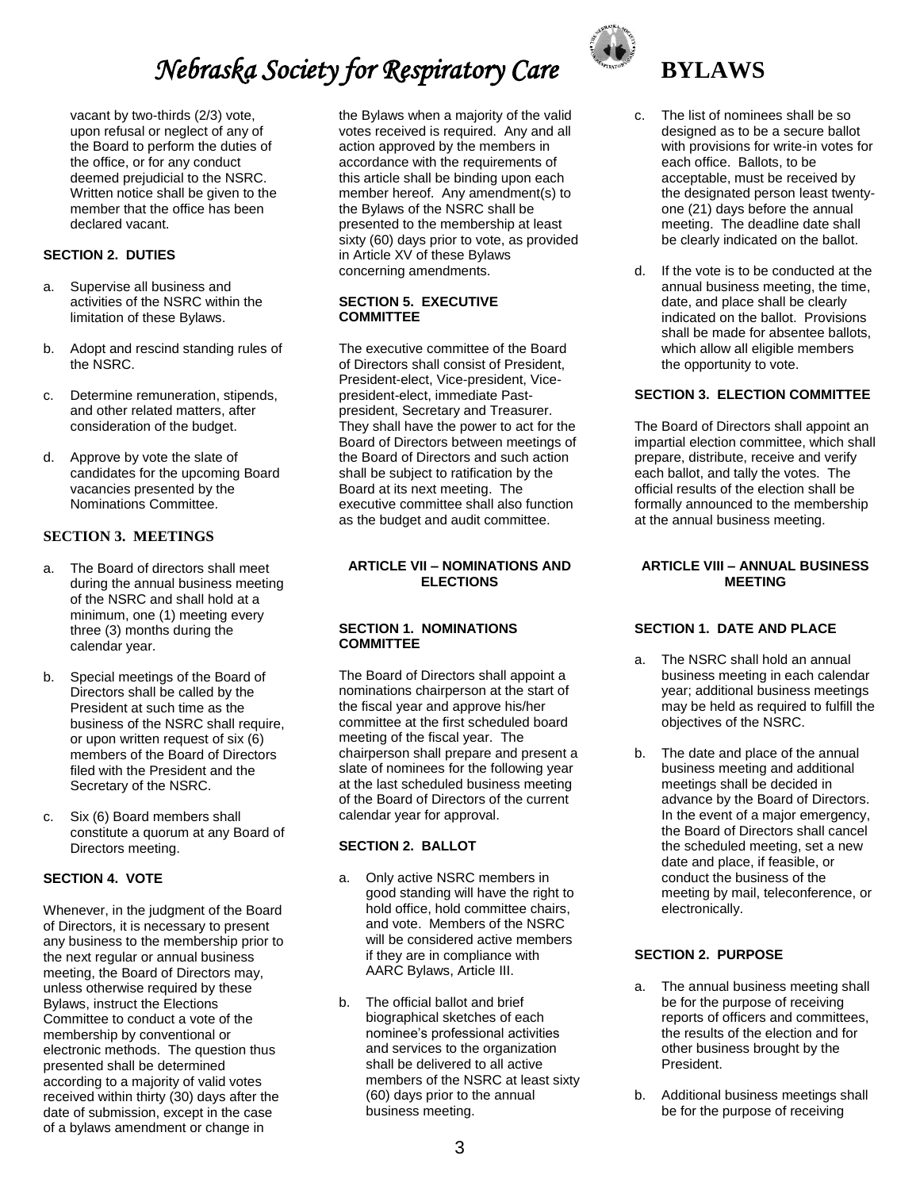vacant by two-thirds (2/3) vote, upon refusal or neglect of any of the Board to perform the duties of the office, or for any conduct deemed prejudicial to the NSRC. Written notice shall be given to the member that the office has been declared vacant.

# **SECTION 2. DUTIES**

- a. Supervise all business and activities of the NSRC within the limitation of these Bylaws.
- b. Adopt and rescind standing rules of the NSRC.
- c. Determine remuneration, stipends, and other related matters, after consideration of the budget.
- d. Approve by vote the slate of candidates for the upcoming Board vacancies presented by the Nominations Committee.

# **SECTION 3. MEETINGS**

- a. The Board of directors shall meet during the annual business meeting of the NSRC and shall hold at a minimum, one (1) meeting every three (3) months during the calendar year.
- b. Special meetings of the Board of Directors shall be called by the President at such time as the business of the NSRC shall require, or upon written request of six (6) members of the Board of Directors filed with the President and the Secretary of the NSRC.
- c. Six (6) Board members shall constitute a quorum at any Board of Directors meeting.

# **SECTION 4. VOTE**

Whenever, in the judgment of the Board of Directors, it is necessary to present any business to the membership prior to the next regular or annual business meeting, the Board of Directors may, unless otherwise required by these Bylaws, instruct the Elections Committee to conduct a vote of the membership by conventional or electronic methods. The question thus presented shall be determined according to a majority of valid votes received within thirty (30) days after the date of submission, except in the case of a bylaws amendment or change in

the Bylaws when a majority of the valid votes received is required. Any and all action approved by the members in accordance with the requirements of this article shall be binding upon each member hereof. Any amendment(s) to the Bylaws of the NSRC shall be presented to the membership at least sixty (60) days prior to vote, as provided in Article XV of these Bylaws concerning amendments.

#### **SECTION 5. EXECUTIVE COMMITTEE**

The executive committee of the Board of Directors shall consist of President, President-elect, Vice-president, Vicepresident-elect, immediate Pastpresident, Secretary and Treasurer. They shall have the power to act for the Board of Directors between meetings of the Board of Directors and such action shall be subject to ratification by the Board at its next meeting. The executive committee shall also function as the budget and audit committee.

#### **ARTICLE VII – NOMINATIONS AND ELECTIONS**

#### **SECTION 1. NOMINATIONS COMMITTEE**

The Board of Directors shall appoint a nominations chairperson at the start of the fiscal year and approve his/her committee at the first scheduled board meeting of the fiscal year. The chairperson shall prepare and present a slate of nominees for the following year at the last scheduled business meeting of the Board of Directors of the current calendar year for approval.

# **SECTION 2. BALLOT**

- a. Only active NSRC members in good standing will have the right to hold office, hold committee chairs, and vote. Members of the NSRC will be considered active members if they are in compliance with AARC Bylaws, Article III.
- b. The official ballot and brief biographical sketches of each nominee's professional activities and services to the organization shall be delivered to all active members of the NSRC at least sixty (60) days prior to the annual business meeting.



#### c. The list of nominees shall be so designed as to be a secure ballot with provisions for write-in votes for each office. Ballots, to be acceptable, must be received by the designated person least twentyone (21) days before the annual meeting. The deadline date shall be clearly indicated on the ballot.

d. If the vote is to be conducted at the annual business meeting, the time, date, and place shall be clearly indicated on the ballot. Provisions shall be made for absentee ballots, which allow all eligible members the opportunity to vote.

# **SECTION 3. ELECTION COMMITTEE**

The Board of Directors shall appoint an impartial election committee, which shall prepare, distribute, receive and verify each ballot, and tally the votes. The official results of the election shall be formally announced to the membership at the annual business meeting.

#### **ARTICLE VIII – ANNUAL BUSINESS MEETING**

# **SECTION 1. DATE AND PLACE**

- a. The NSRC shall hold an annual business meeting in each calendar year; additional business meetings may be held as required to fulfill the objectives of the NSRC.
- b. The date and place of the annual business meeting and additional meetings shall be decided in advance by the Board of Directors. In the event of a major emergency, the Board of Directors shall cancel the scheduled meeting, set a new date and place, if feasible, or conduct the business of the meeting by mail, teleconference, or electronically.

# **SECTION 2. PURPOSE**

- a. The annual business meeting shall be for the purpose of receiving reports of officers and committees, the results of the election and for other business brought by the President.
- b. Additional business meetings shall be for the purpose of receiving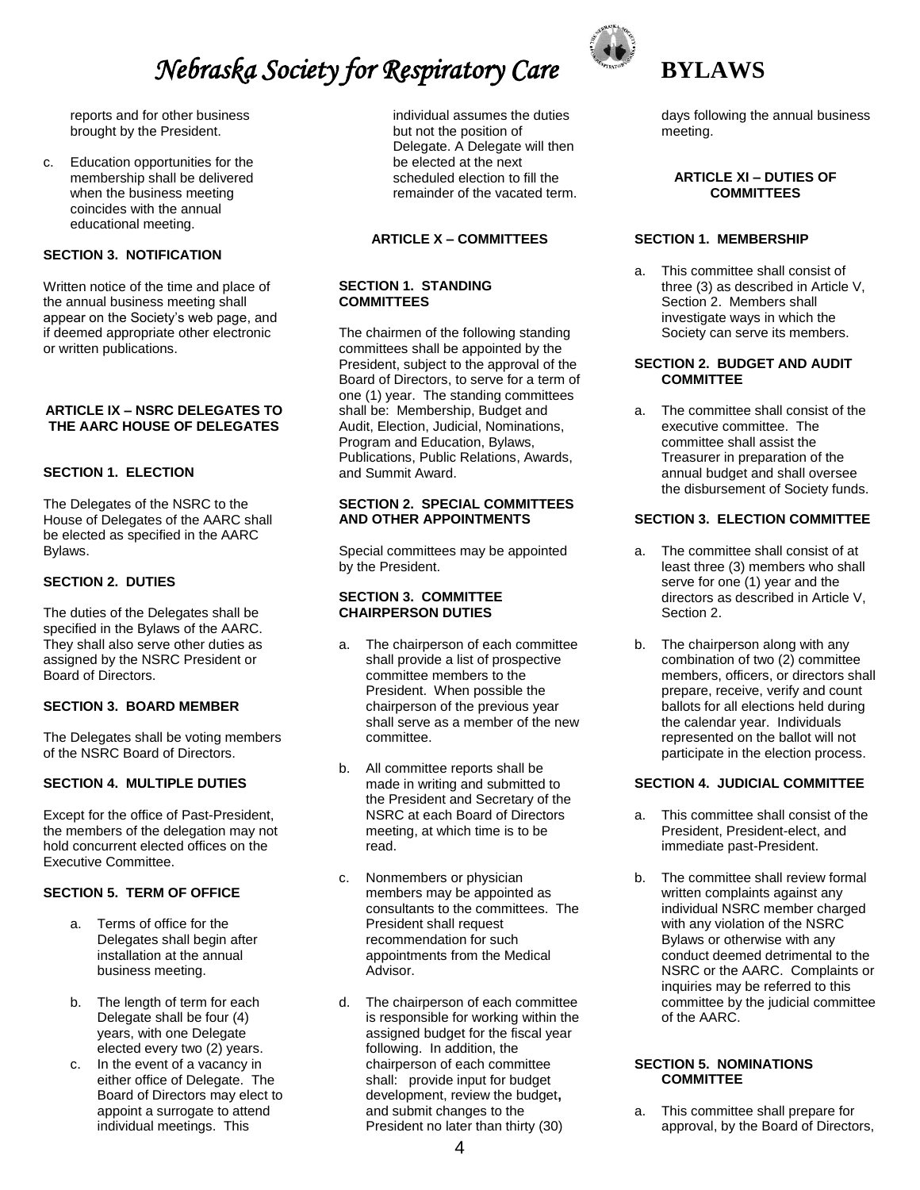reports and for other business brought by the President.

c. Education opportunities for the membership shall be delivered when the business meeting coincides with the annual educational meeting.

# **SECTION 3. NOTIFICATION**

Written notice of the time and place of the annual business meeting shall appear on the Society's web page, and if deemed appropriate other electronic or written publications.

#### **ARTICLE IX – NSRC DELEGATES TO THE AARC HOUSE OF DELEGATES**

# **SECTION 1. ELECTION**

The Delegates of the NSRC to the House of Delegates of the AARC shall be elected as specified in the AARC Bylaws.

# **SECTION 2. DUTIES**

The duties of the Delegates shall be specified in the Bylaws of the AARC. They shall also serve other duties as assigned by the NSRC President or Board of Directors.

# **SECTION 3. BOARD MEMBER**

The Delegates shall be voting members of the NSRC Board of Directors.

#### **SECTION 4. MULTIPLE DUTIES**

Except for the office of Past-President, the members of the delegation may not hold concurrent elected offices on the Executive Committee.

# **SECTION 5. TERM OF OFFICE**

- a. Terms of office for the Delegates shall begin after installation at the annual business meeting.
- b. The length of term for each Delegate shall be four (4) years, with one Delegate elected every two (2) years.
- c. In the event of a vacancy in either office of Delegate. The Board of Directors may elect to appoint a surrogate to attend individual meetings. This

individual assumes the duties but not the position of Delegate. A Delegate will then be elected at the next scheduled election to fill the remainder of the vacated term.

# **ARTICLE X – COMMITTEES**

# **SECTION 1. STANDING COMMITTEES**

The chairmen of the following standing committees shall be appointed by the President, subject to the approval of the Board of Directors, to serve for a term of one (1) year. The standing committees shall be: Membership, Budget and Audit, Election, Judicial, Nominations, Program and Education, Bylaws, Publications, Public Relations, Awards, and Summit Award.

#### **SECTION 2. SPECIAL COMMITTEES AND OTHER APPOINTMENTS**

Special committees may be appointed by the President.

#### **SECTION 3. COMMITTEE CHAIRPERSON DUTIES**

- a. The chairperson of each committee shall provide a list of prospective committee members to the President. When possible the chairperson of the previous year shall serve as a member of the new committee.
- b. All committee reports shall be made in writing and submitted to the President and Secretary of the NSRC at each Board of Directors meeting, at which time is to be read.
- c. Nonmembers or physician members may be appointed as consultants to the committees. The President shall request recommendation for such appointments from the Medical Advisor.
- d. The chairperson of each committee is responsible for working within the assigned budget for the fiscal year following. In addition, the chairperson of each committee shall:provide input for budget development, review the budget**,** and submit changes to the President no later than thirty (30)



days following the annual business meeting.

#### **ARTICLE XI – DUTIES OF COMMITTEES**

# **SECTION 1. MEMBERSHIP**

a. This committee shall consist of three (3) as described in Article V, Section 2. Members shall investigate ways in which the Society can serve its members.

# **SECTION 2. BUDGET AND AUDIT COMMITTEE**

a. The committee shall consist of the executive committee. The committee shall assist the Treasurer in preparation of the annual budget and shall oversee the disbursement of Society funds.

# **SECTION 3. ELECTION COMMITTEE**

- a. The committee shall consist of at least three (3) members who shall serve for one (1) year and the directors as described in Article V, Section 2.
- b. The chairperson along with any combination of two (2) committee members, officers, or directors shall prepare, receive, verify and count ballots for all elections held during the calendar year. Individuals represented on the ballot will not participate in the election process.

# **SECTION 4. JUDICIAL COMMITTEE**

- a. This committee shall consist of the President, President-elect, and immediate past-President.
- b. The committee shall review formal written complaints against any individual NSRC member charged with any violation of the NSRC Bylaws or otherwise with any conduct deemed detrimental to the NSRC or the AARC. Complaints or inquiries may be referred to this committee by the judicial committee of the AARC.

#### **SECTION 5. NOMINATIONS COMMITTEE**

a. This committee shall prepare for approval, by the Board of Directors,